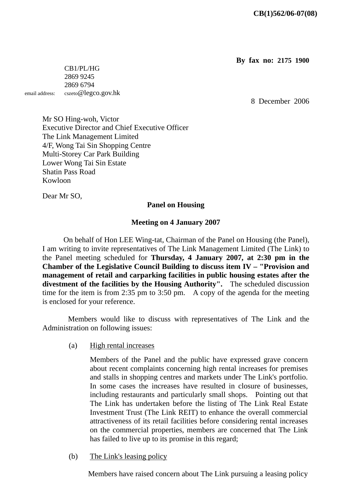**By fax no: 2175 1900**

 CB1/PL/HG 2869 9245 2869 6794 email address: cszeto@legco.gov.hk

8 December 2006

Mr SO Hing-woh, Victor Executive Director and Chief Executive Officer The Link Management Limited 4/F, Wong Tai Sin Shopping Centre Multi-Storey Car Park Building Lower Wong Tai Sin Estate Shatin Pass Road Kowloon

Dear Mr SO,

## **Panel on Housing**

## **Meeting on 4 January 2007**

 On behalf of Hon LEE Wing-tat, Chairman of the Panel on Housing (the Panel), I am writing to invite representatives of The Link Management Limited (The Link) to the Panel meeting scheduled for **Thursday, 4 January 2007, at 2:30 pm in the Chamber of the Legislative Council Building to discuss item IV – "Provision and management of retail and carparking facilities in public housing estates after the divestment of the facilities by the Housing Authority".** The scheduled discussion time for the item is from 2:35 pm to 3:50 pm. A copy of the agenda for the meeting is enclosed for your reference.

 Members would like to discuss with representatives of The Link and the Administration on following issues:

(a) High rental increases

 Members of the Panel and the public have expressed grave concern about recent complaints concerning high rental increases for premises and stalls in shopping centres and markets under The Link's portfolio. In some cases the increases have resulted in closure of businesses, including restaurants and particularly small shops. Pointing out that The Link has undertaken before the listing of The Link Real Estate Investment Trust (The Link REIT) to enhance the overall commercial attractiveness of its retail facilities before considering rental increases on the commercial properties, members are concerned that The Link has failed to live up to its promise in this regard;

(b) The Link's leasing policy

Members have raised concern about The Link pursuing a leasing policy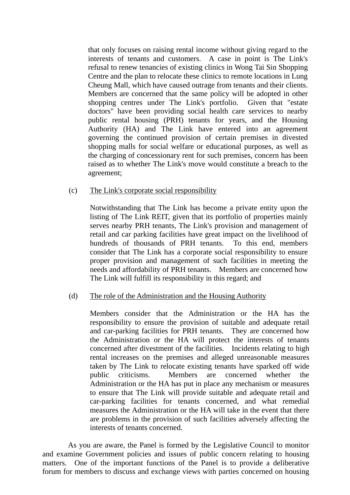that only focuses on raising rental income without giving regard to the interests of tenants and customers. A case in point is The Link's refusal to renew tenancies of existing clinics in Wong Tai Sin Shopping Centre and the plan to relocate these clinics to remote locations in Lung Cheung Mall, which have caused outrage from tenants and their clients. Members are concerned that the same policy will be adopted in other shopping centres under The Link's portfolio. Given that "estate doctors" have been providing social health care services to nearby public rental housing (PRH) tenants for years, and the Housing Authority (HA) and The Link have entered into an agreement governing the continued provision of certain premises in divested shopping malls for social welfare or educational purposes, as well as the charging of concessionary rent for such premises, concern has been raised as to whether The Link's move would constitute a breach to the agreement;

## (c) The Link's corporate social responsibility

 Notwithstanding that The Link has become a private entity upon the listing of The Link REIT, given that its portfolio of properties mainly serves nearby PRH tenants, The Link's provision and management of retail and car parking facilities have great impact on the livelihood of hundreds of thousands of PRH tenants. To this end, members consider that The Link has a corporate social responsibility to ensure proper provision and management of such facilities in meeting the needs and affordability of PRH tenants. Members are concerned how The Link will fulfill its responsibility in this regard; and

## (d) The role of the Administration and the Housing Authority

 Members consider that the Administration or the HA has the responsibility to ensure the provision of suitable and adequate retail and car-parking facilities for PRH tenants. They are concerned how the Administration or the HA will protect the interests of tenants concerned after divestment of the facilities. Incidents relating to high rental increases on the premises and alleged unreasonable measures taken by The Link to relocate existing tenants have sparked off wide public criticisms. Members are concerned whether the Administration or the HA has put in place any mechanism or measures to ensure that The Link will provide suitable and adequate retail and car-parking facilities for tenants concerned, and what remedial measures the Administration or the HA will take in the event that there are problems in the provision of such facilities adversely affecting the interests of tenants concerned.

 As you are aware, the Panel is formed by the Legislative Council to monitor and examine Government policies and issues of public concern relating to housing matters. One of the important functions of the Panel is to provide a deliberative forum for members to discuss and exchange views with parties concerned on housing